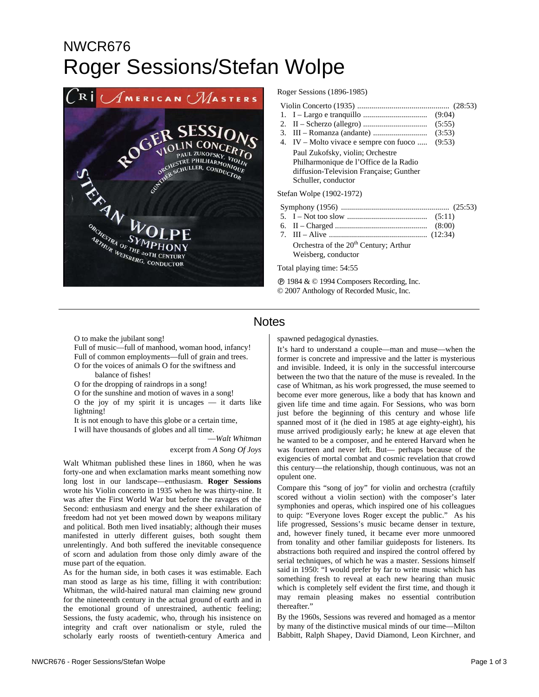# NWCR676 Roger Sessions/Stefan Wolpe



#### Roger Sessions (1896-1985)

|--|--|--|

- 1. I Largo e tranquillo ................................ (9:04)
- 2. II Scherzo (allegro) ................................ (5:55) 3. III – Romanza (andante) ........................... (3:53)
- 4. IV Molto vivace e sempre con fuoco ..... (9:53)
- Paul Zukofsky, violin; Orchestre Philharmonique de l'Office de la Radio diffusion-Television Française; Gunther Schuller, conductor

Stefan Wolpe (1902-1972)

- Symphony (1956) ...................................................... (25:53)
- 5. I Not too slow ........................................ (5:11)
- 6. II Charged .............................................. (8:00) 7. III – Alive ................................................. (12:34)

Orchestra of the  $20<sup>th</sup>$  Century; Arthur Weisberg, conductor

Total playing time: 54:55

Ê 1984 & © 1994 Composers Recording, Inc. © 2007 Anthology of Recorded Music, Inc.

### **Notes**

O to make the jubilant song!

Full of music—full of manhood, woman hood, infancy! Full of common employments—full of grain and trees. O for the voices of animals O for the swiftness and balance of fishes!

O for the dropping of raindrops in a song!

O for the sunshine and motion of waves in a song!

O the joy of my spirit it is uncages  $-$  it darts like lightning!

It is not enough to have this globe or a certain time,

I will have thousands of globes and all time.

—*Walt Whitman* excerpt from *A Song Of Joys*

Walt Whitman published these lines in 1860, when he was forty-one and when exclamation marks meant something now long lost in our landscape—enthusiasm. **Roger Sessions** wrote his Violin concerto in 1935 when he was thirty-nine. It was after the First World War but before the ravages of the Second: enthusiasm and energy and the sheer exhilaration of freedom had not yet been mowed down by weapons military and political. Both men lived insatiably; although their muses manifested in utterly different guises, both sought them unrelentingly. And both suffered the inevitable consequence of scorn and adulation from those only dimly aware of the muse part of the equation.

As for the human side, in both cases it was estimable. Each man stood as large as his time, filling it with contribution: Whitman, the wild-haired natural man claiming new ground for the nineteenth century in the actual ground of earth and in the emotional ground of unrestrained, authentic feeling; Sessions, the fusty academic, who, through his insistence on integrity and craft over nationalism or style, ruled the scholarly early roosts of twentieth-century America and

spawned pedagogical dynasties.

It's hard to understand a couple—man and muse—when the former is concrete and impressive and the latter is mysterious and invisible. Indeed, it is only in the successful intercourse between the two that the nature of the muse is revealed. In the case of Whitman, as his work progressed, the muse seemed to become ever more generous, like a body that has known and given life time and time again. For Sessions, who was born just before the beginning of this century and whose life spanned most of it (he died in 1985 at age eighty-eight), his muse arrived prodigiously early; he knew at age eleven that he wanted to be a composer, and he entered Harvard when he was fourteen and never left. But— perhaps because of the exigencies of mortal combat and cosmic revelation that crowd this century—the relationship, though continuous, was not an opulent one.

Compare this "song of joy" for violin and orchestra (craftily scored without a violin section) with the composer's later symphonies and operas, which inspired one of his colleagues to quip: "Everyone loves Roger except the public." As his life progressed, Sessions's music became denser in texture, and, however finely tuned, it became ever more unmoored from tonality and other familiar guideposts for listeners. Its abstractions both required and inspired the control offered by serial techniques, of which he was a master. Sessions himself said in 1950: "I would prefer by far to write music which has something fresh to reveal at each new hearing than music which is completely self evident the first time, and though it may remain pleasing makes no essential contribution thereafter."

By the 1960s, Sessions was revered and homaged as a mentor by many of the distinctive musical minds of our time—Milton Babbitt, Ralph Shapey, David Diamond, Leon Kirchner, and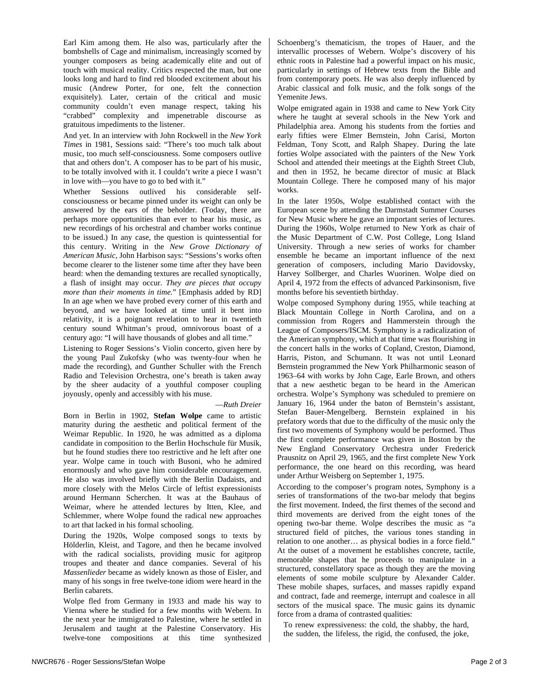Earl Kim among them. He also was, particularly after the bombshells of Cage and minimalism, increasingly scorned by younger composers as being academically elite and out of touch with musical reality. Critics respected the man, but one looks long and hard to find red blooded excitement about his music (Andrew Porter, for one, felt the connection exquisitely). Later, certain of the critical and music community couldn't even manage respect, taking his "crabbed" complexity and impenetrable discourse as gratuitous impediments to the listener.

And yet. In an interview with John Rockwell in the *New York Times* in 1981, Sessions said: "There's too much talk about music, too much self-consciousness. Some composers outlive that and others don't. A composer has to be part of his music, to be totally involved with it. I couldn't write a piece I wasn't in love with—you have to go to bed with it."

Whether Sessions outlived his considerable selfconsciousness or became pinned under its weight can only be answered by the ears of the beholder. (Today, there are perhaps more opportunities than ever to hear his music, as new recordings of his orchestral and chamber works continue to be issued.) In any case, the question is quintessential for this century. Writing in the *New Grove Dictionary of American Music*, John Harbison says: "Sessions's works often become clearer to the listener some time after they have been heard: when the demanding textures are recalled synoptically, a flash of insight may occur. *They are pieces that occupy more than their moments in time.*" [Emphasis added by RD] In an age when we have probed every corner of this earth and beyond, and we have looked at time until it bent into relativity, it is a poignant revelation to hear in twentieth century sound Whitman's proud, omnivorous boast of a century ago: "I will have thousands of globes and all time."

Listening to Roger Sessions's Violin concerto, given here by the young Paul Zukofsky (who was twenty-four when he made the recording), and Gunther Schuller with the French Radio and Television Orchestra, one's breath is taken away by the sheer audacity of a youthful composer coupling joyously, openly and accessibly with his muse.

#### —*Ruth Dreier*

Born in Berlin in 1902, **Stefan Wolpe** came to artistic maturity during the aesthetic and political ferment of the Weimar Republic. In 1920, he was admitted as a diploma candidate in composition to the Berlin Hochschule für Musik, but he found studies there too restrictive and he left after one year. Wolpe came in touch with Busoni, who he admired enormously and who gave him considerable encouragement. He also was involved briefly with the Berlin Dadaists, and more closely with the Melos Circle of leftist expressionists around Hermann Scherchen. It was at the Bauhaus of Weimar, where he attended lectures by Itten, Klee, and Schlemmer, where Wolpe found the radical new approaches to art that lacked in his formal schooling.

During the 1920s, Wolpe composed songs to texts by Hölderlin, Kleist, and Tagore, and then he became involved with the radical socialists, providing music for agitprop troupes and theater and dance companies. Several of his *Massenlieder* became as widely known as those of Eisler, and many of his songs in free twelve-tone idiom were heard in the Berlin cabarets.

Wolpe fled from Germany in 1933 and made his way to Vienna where he studied for a few months with Webern. In the next year he immigrated to Palestine, where he settled in Jerusalem and taught at the Palestine Conservatory. His twelve-tone compositions at this time synthesized Schoenberg's thematicism, the tropes of Hauer, and the intervallic processes of Webern. Wolpe's discovery of his ethnic roots in Palestine had a powerful impact on his music, particularly in settings of Hebrew texts from the Bible and from contemporary poets. He was also deeply influenced by Arabic classical and folk music, and the folk songs of the Yemenite Jews.

Wolpe emigrated again in 1938 and came to New York City where he taught at several schools in the New York and Philadelphia area. Among his students from the forties and early fifties were Elmer Bernstein, John Carisi, Morton Feldman, Tony Scott, and Ralph Shapey. During the late forties Wolpe associated with the painters of the New York School and attended their meetings at the Eighth Street Club, and then in 1952, he became director of music at Black Mountain College. There he composed many of his major works.

In the later 1950s, Wolpe established contact with the European scene by attending the Darmstadt Summer Courses for New Music where he gave an important series of lectures. During the 1960s, Wolpe returned to New York as chair of the Music Department of C.W. Post College, Long Island University. Through a new series of works for chamber ensemble he became an important influence of the next generation of composers, including Mario Davidovsky, Harvey Sollberger, and Charles Wuorinen. Wolpe died on April 4, 1972 from the effects of advanced Parkinsonism, five months before his seventieth birthday.

Wolpe composed Symphony during 1955, while teaching at Black Mountain College in North Carolina, and on a commission from Rogers and Hammerstein through the League of Composers/ISCM. Symphony is a radicalization of the American symphony, which at that time was flourishing in the concert halls in the works of Copland, Creston, Diamond, Harris, Piston, and Schumann. It was not until Leonard Bernstein programmed the New York Philharmonic season of 1963–64 with works by John Cage, Earle Brown, and others that a new aesthetic began to be heard in the American orchestra. Wolpe's Symphony was scheduled to premiere on January 16, 1964 under the baton of Bernstein's assistant, Stefan Bauer-Mengelberg. Bernstein explained in his prefatory words that due to the difficulty of the music only the first two movements of Symphony would be performed. Thus the first complete performance was given in Boston by the New England Conservatory Orchestra under Frederick Prausnitz on April 29, 1965, and the first complete New York performance, the one heard on this recording, was heard under Arthur Weisberg on September 1, 1975.

According to the composer's program notes, Symphony is a series of transformations of the two-bar melody that begins the first movement. Indeed, the first themes of the second and third movements are derived from the eight tones of the opening two-bar theme. Wolpe describes the music as "a structured field of pitches, the various tones standing in relation to one another… as physical bodies in a force field." At the outset of a movement he establishes concrete, tactile, memorable shapes that he proceeds to manipulate in a structured, constellatory space as though they are the moving elements of some mobile sculpture by Alexander Calder. These mobile shapes, surfaces, and masses rapidly expand and contract, fade and reemerge, interrupt and coalesce in all sectors of the musical space. The music gains its dynamic force from a drama of contrasted qualities:

To renew expressiveness: the cold, the shabby, the hard, the sudden, the lifeless, the rigid, the confused, the joke,